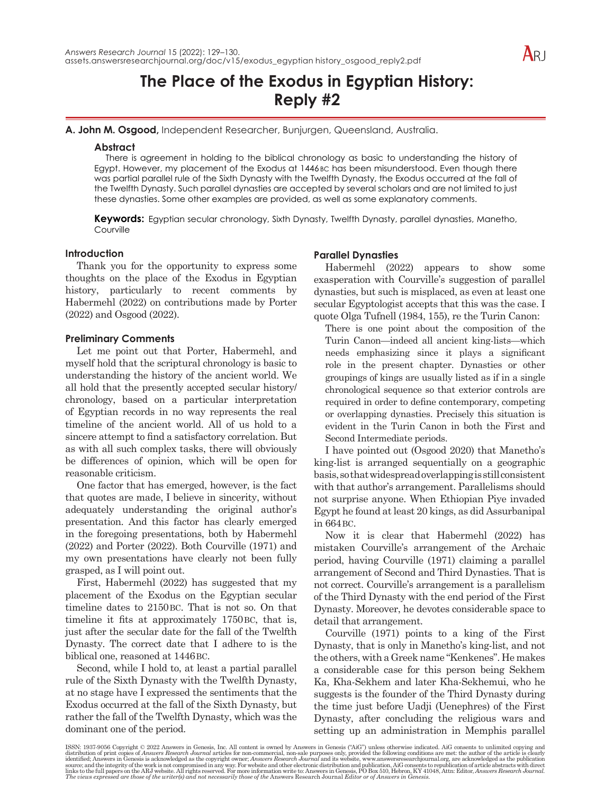# **The Place of the Exodus in Egyptian History: Reply #2**

**A. John M. Osgood,** Independent Researcher, Bunjurgen, Queensland, Australia.

## **Abstract**

There is agreement in holding to the biblical chronology as basic to understanding the history of Egypt. However, my placement of the Exodus at 1446 BC has been misunderstood. Even though there was partial parallel rule of the Sixth Dynasty with the Twelfth Dynasty, the Exodus occurred at the fall of the Twelfth Dynasty. Such parallel dynasties are accepted by several scholars and are not limited to just these dynasties. Some other examples are provided, as well as some explanatory comments.

**Keywords:** Egyptian secular chronology, Sixth Dynasty, Twelfth Dynasty, parallel dynasties, Manetho, **Courville** 

### **Introduction**

Thank you for the opportunity to express some thoughts on the place of the Exodus in Egyptian history, particularly to recent comments by Habermehl (2022) on contributions made by Porter (2022) and Osgood (2022).

# **Preliminary Comments**

Let me point out that Porter, Habermehl, and myself hold that the scriptural chronology is basic to understanding the history of the ancient world. We all hold that the presently accepted secular history/ chronology, based on a particular interpretation of Egyptian records in no way represents the real timeline of the ancient world. All of us hold to a sincere attempt to find a satisfactory correlation. But as with all such complex tasks, there will obviously be differences of opinion, which will be open for reasonable criticism.

One factor that has emerged, however, is the fact that quotes are made, I believe in sincerity, without adequately understanding the original author's presentation. And this factor has clearly emerged in the foregoing presentations, both by Habermehl (2022) and Porter (2022). Both Courville (1971) and my own presentations have clearly not been fully grasped, as I will point out.

First, Habermehl (2022) has suggested that my placement of the Exodus on the Egyptian secular timeline dates to 2150BC. That is not so. On that timeline it fits at approximately 1750BC, that is, just after the secular date for the fall of the Twelfth Dynasty. The correct date that I adhere to is the biblical one, reasoned at 1446BC.

Second, while I hold to, at least a partial parallel rule of the Sixth Dynasty with the Twelfth Dynasty, at no stage have I expressed the sentiments that the Exodus occurred at the fall of the Sixth Dynasty, but rather the fall of the Twelfth Dynasty, which was the dominant one of the period.

# **Parallel Dynasties**

Habermehl (2022) appears to show some exasperation with Courville's suggestion of parallel dynasties, but such is misplaced, as even at least one secular Egyptologist accepts that this was the case. I quote Olga Tufnell (1984, 155), re the Turin Canon:

There is one point about the composition of the Turin Canon—indeed all ancient king-lists—which needs emphasizing since it plays a significant role in the present chapter. Dynasties or other groupings of kings are usually listed as if in a single chronological sequence so that exterior controls are required in order to define contemporary, competing or overlapping dynasties. Precisely this situation is evident in the Turin Canon in both the First and Second Intermediate periods.

I have pointed out (Osgood 2020) that Manetho's king-list is arranged sequentially on a geographic basis, so that widespread overlapping is still consistent with that author's arrangement. Parallelisms should not surprise anyone. When Ethiopian Piye invaded Egypt he found at least 20 kings, as did Assurbanipal in 664BC.

Now it is clear that Habermehl (2022) has mistaken Courville's arrangement of the Archaic period, having Courville (1971) claiming a parallel arrangement of Second and Third Dynasties. That is not correct. Courville's arrangement is a parallelism of the Third Dynasty with the end period of the First Dynasty. Moreover, he devotes considerable space to detail that arrangement.

Courville (1971) points to a king of the First Dynasty, that is only in Manetho's king-list, and not the others, with a Greek name "Kenkenes". He makes a considerable case for this person being Sekhem Ka, Kha-Sekhem and later Kha-Sekhemui, who he suggests is the founder of the Third Dynasty during the time just before Uadji (Uenephres) of the First Dynasty, after concluding the religious wars and setting up an administration in Memphis parallel

ISSN: 1937-9056 Copyright © 2022 Answers in Genesis, Inc. All content is owned by Answers in Genesis ("AiG") unless otherwise indicated. AiG consents to unlimited copying and distribution of print copies of *Answers* in G